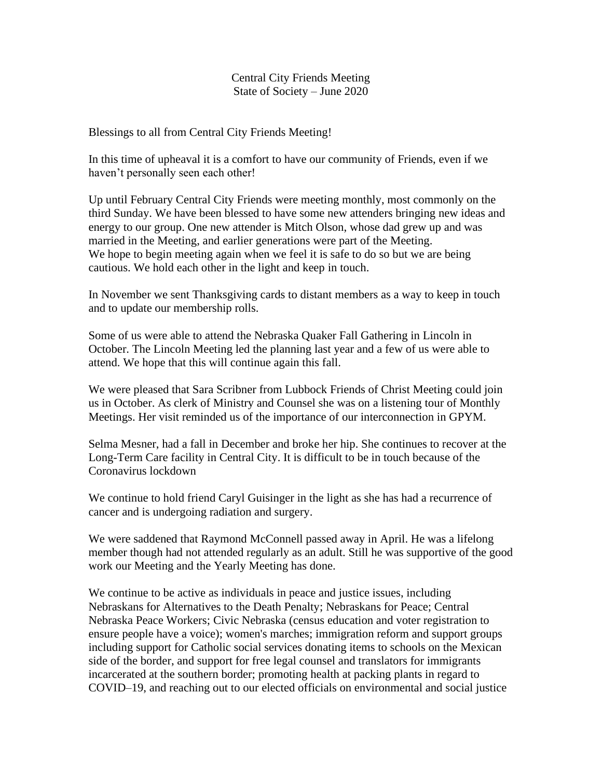## Central City Friends Meeting State of Society – June 2020

Blessings to all from Central City Friends Meeting!

In this time of upheaval it is a comfort to have our community of Friends, even if we haven't personally seen each other!

Up until February Central City Friends were meeting monthly, most commonly on the third Sunday. We have been blessed to have some new attenders bringing new ideas and energy to our group. One new attender is Mitch Olson, whose dad grew up and was married in the Meeting, and earlier generations were part of the Meeting. We hope to begin meeting again when we feel it is safe to do so but we are being cautious. We hold each other in the light and keep in touch.

In November we sent Thanksgiving cards to distant members as a way to keep in touch and to update our membership rolls.

Some of us were able to attend the Nebraska Quaker Fall Gathering in Lincoln in October. The Lincoln Meeting led the planning last year and a few of us were able to attend. We hope that this will continue again this fall.

We were pleased that Sara Scribner from Lubbock Friends of Christ Meeting could join us in October. As clerk of Ministry and Counsel she was on a listening tour of Monthly Meetings. Her visit reminded us of the importance of our interconnection in GPYM.

Selma Mesner, had a fall in December and broke her hip. She continues to recover at the Long-Term Care facility in Central City. It is difficult to be in touch because of the Coronavirus lockdown

We continue to hold friend Caryl Guisinger in the light as she has had a recurrence of cancer and is undergoing radiation and surgery.

We were saddened that Raymond McConnell passed away in April. He was a lifelong member though had not attended regularly as an adult. Still he was supportive of the good work our Meeting and the Yearly Meeting has done.

We continue to be active as individuals in peace and justice issues, including Nebraskans for Alternatives to the Death Penalty; Nebraskans for Peace; Central Nebraska Peace Workers; Civic Nebraska (census education and voter registration to ensure people have a voice); women's marches; immigration reform and support groups including support for Catholic social services donating items to schools on the Mexican side of the border, and support for free legal counsel and translators for immigrants incarcerated at the southern border; promoting health at packing plants in regard to COVID–19, and reaching out to our elected officials on environmental and social justice